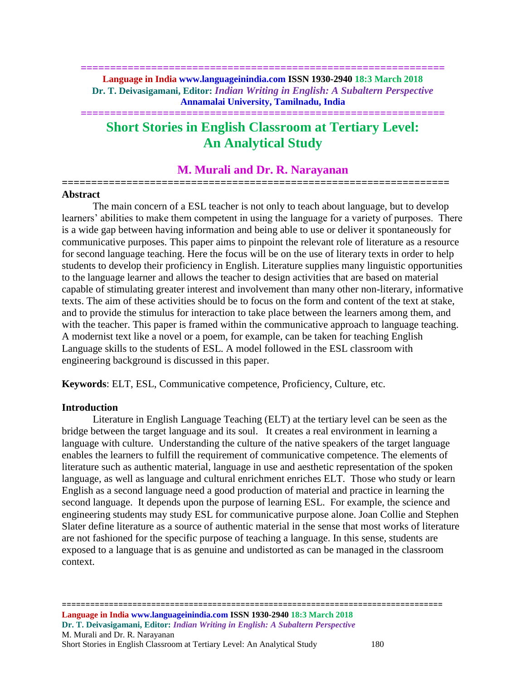**============================================================== Language in India www.languageinindia.com ISSN 1930-2940 18:3 March 2018 Dr. T. Deivasigamani, Editor:** *Indian Writing in English: A Subaltern Perspective* **Annamalai University, Tamilnadu, India**

**==============================================================**

# **Short Stories in English Classroom at Tertiary Level: An Analytical Study**

### **M. Murali and Dr. R. Narayanan**

**==================================================================**

#### **Abstract**

The main concern of a ESL teacher is not only to teach about language, but to develop learners' abilities to make them competent in using the language for a variety of purposes. There is a wide gap between having information and being able to use or deliver it spontaneously for communicative purposes. This paper aims to pinpoint the relevant role of literature as a resource for second language teaching. Here the focus will be on the use of literary texts in order to help students to develop their proficiency in English. Literature supplies many linguistic opportunities to the language learner and allows the teacher to design activities that are based on material capable of stimulating greater interest and involvement than many other non-literary, informative texts. The aim of these activities should be to focus on the form and content of the text at stake, and to provide the stimulus for interaction to take place between the learners among them, and with the teacher. This paper is framed within the communicative approach to language teaching. A modernist text like a novel or a poem, for example, can be taken for teaching English Language skills to the students of ESL. A model followed in the ESL classroom with engineering background is discussed in this paper.

**Keywords**: ELT, ESL, Communicative competence, Proficiency, Culture, etc.

#### **Introduction**

Literature in English Language Teaching (ELT) at the tertiary level can be seen as the bridge between the target language and its soul. It creates a real environment in learning a language with culture. Understanding the culture of the native speakers of the target language enables the learners to fulfill the requirement of communicative competence. The elements of literature such as authentic material, language in use and aesthetic representation of the spoken language, as well as language and cultural enrichment enriches ELT. Those who study or learn English as a second language need a good production of material and practice in learning the second language. It depends upon the purpose of learning ESL. For example, the science and engineering students may study ESL for communicative purpose alone. Joan Collie and Stephen Slater define literature as a source of authentic material in the sense that most works of literature are not fashioned for the specific purpose of teaching a language. In this sense, students are exposed to a language that is as genuine and undistorted as can be managed in the classroom context.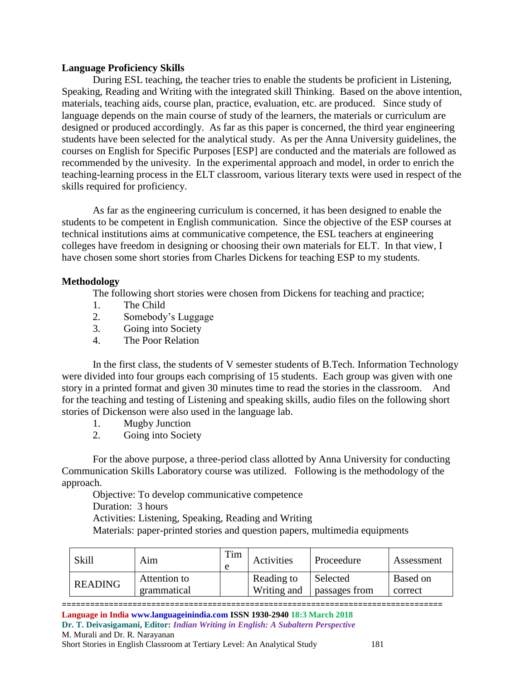#### **Language Proficiency Skills**

During ESL teaching, the teacher tries to enable the students be proficient in Listening, Speaking, Reading and Writing with the integrated skill Thinking. Based on the above intention, materials, teaching aids, course plan, practice, evaluation, etc. are produced. Since study of language depends on the main course of study of the learners, the materials or curriculum are designed or produced accordingly. As far as this paper is concerned, the third year engineering students have been selected for the analytical study. As per the Anna University guidelines, the courses on English for Specific Purposes [ESP] are conducted and the materials are followed as recommended by the univesity. In the experimental approach and model, in order to enrich the teaching-learning process in the ELT classroom, various literary texts were used in respect of the skills required for proficiency.

As far as the engineering curriculum is concerned, it has been designed to enable the students to be competent in English communication. Since the objective of the ESP courses at technical institutions aims at communicative competence, the ESL teachers at engineering colleges have freedom in designing or choosing their own materials for ELT. In that view, I have chosen some short stories from Charles Dickens for teaching ESP to my students.

### **Methodology**

The following short stories were chosen from Dickens for teaching and practice;

- 1. The Child
- 2. Somebody's Luggage
- 3. Going into Society
- 4. The Poor Relation

In the first class, the students of V semester students of B.Tech. Information Technology were divided into four groups each comprising of 15 students. Each group was given with one story in a printed format and given 30 minutes time to read the stories in the classroom. And for the teaching and testing of Listening and speaking skills, audio files on the following short stories of Dickenson were also used in the language lab.

- 1. Mugby Junction<br>2. Going into Socie
- Going into Society

For the above purpose, a three-period class allotted by Anna University for conducting Communication Skills Laboratory course was utilized. Following is the methodology of the approach.

Objective: To develop communicative competence

Duration: 3 hours

Activities: Listening, Speaking, Reading and Writing

Materials: paper-printed stories and question papers, multimedia equipments

| Skill          | Aim                         | Tim | Activities                | Proceedure                | Assessment          |
|----------------|-----------------------------|-----|---------------------------|---------------------------|---------------------|
| <b>READING</b> | Attention to<br>grammatical |     | Reading to<br>Writing and | Selected<br>passages from | Based on<br>correct |

================================================================================= **Language in India www.languageinindia.com ISSN 1930-2940 18:3 March 2018 Dr. T. Deivasigamani, Editor:** *Indian Writing in English: A Subaltern Perspective* M. Murali and Dr. R. Narayanan Short Stories in English Classroom at Tertiary Level: An Analytical Study 181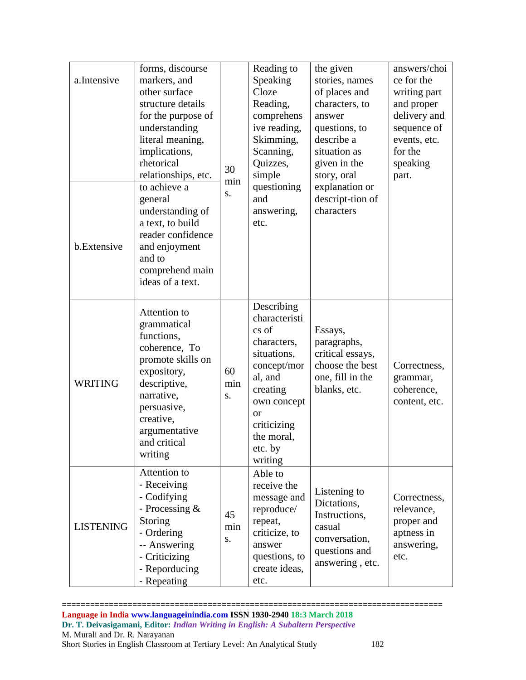| a.Intensive<br>b.Extensive | forms, discourse<br>markers, and<br>other surface<br>structure details<br>for the purpose of<br>understanding<br>literal meaning,<br>implications,<br>rhetorical<br>relationships, etc.<br>to achieve a<br>general<br>understanding of<br>a text, to build<br>reader confidence<br>and enjoyment<br>and to<br>comprehend main<br>ideas of a text. | 30<br>min<br>S. | Reading to<br>Speaking<br>Cloze<br>Reading,<br>comprehens<br>ive reading,<br>Skimming,<br>Scanning,<br>Quizzes,<br>simple<br>questioning<br>and<br>answering,<br>etc.                   | the given<br>stories, names<br>of places and<br>characters, to<br>answer<br>questions, to<br>describe a<br>situation as<br>given in the<br>story, oral<br>explanation or<br>descript-tion of<br>characters | answers/choi<br>ce for the<br>writing part<br>and proper<br>delivery and<br>sequence of<br>events, etc.<br>for the<br>speaking<br>part. |
|----------------------------|---------------------------------------------------------------------------------------------------------------------------------------------------------------------------------------------------------------------------------------------------------------------------------------------------------------------------------------------------|-----------------|-----------------------------------------------------------------------------------------------------------------------------------------------------------------------------------------|------------------------------------------------------------------------------------------------------------------------------------------------------------------------------------------------------------|-----------------------------------------------------------------------------------------------------------------------------------------|
| <b>WRITING</b>             | Attention to<br>grammatical<br>functions,<br>coherence, To<br>promote skills on<br>expository,<br>descriptive,<br>narrative,<br>persuasive,<br>creative,<br>argumentative<br>and critical<br>writing                                                                                                                                              | 60<br>min<br>S. | Describing<br>characteristi<br>cs of<br>characters,<br>situations,<br>concept/mor<br>al, and<br>creating<br>own concept<br><b>or</b><br>criticizing<br>the moral,<br>etc. by<br>writing | Essays,<br>paragraphs,<br>critical essays,<br>choose the best<br>one, fill in the<br>blanks, etc.                                                                                                          | Correctness,<br>grammar,<br>coherence,<br>content, etc.                                                                                 |
| <b>LISTENING</b>           | Attention to<br>- Receiving<br>- Codifying<br>- Processing &<br>Storing<br>- Ordering<br>-- Answering<br>- Criticizing<br>- Reporducing<br>- Repeating                                                                                                                                                                                            | 45<br>min<br>S. | Able to<br>receive the<br>message and<br>reproduce/<br>repeat,<br>criticize, to<br>answer<br>questions, to<br>create ideas,<br>etc.                                                     | Listening to<br>Dictations,<br>Instructions,<br>casual<br>conversation,<br>questions and<br>answering, etc.                                                                                                | Correctness,<br>relevance,<br>proper and<br>aptness in<br>answering,<br>etc.                                                            |

================================================================================= **Language in India www.languageinindia.com ISSN 1930-2940 18:3 March 2018 Dr. T. Deivasigamani, Editor:** *Indian Writing in English: A Subaltern Perspective* M. Murali and Dr. R. Narayanan Short Stories in English Classroom at Tertiary Level: An Analytical Study 182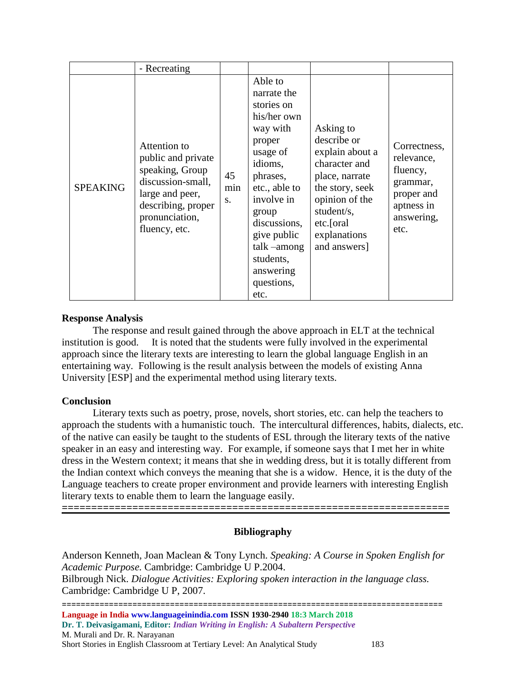|                 | - Recreating                                                                                                                                           |                 |                                                                                                                                                                                                                                                       |                                                                                                                                                                                |                                                                                                      |
|-----------------|--------------------------------------------------------------------------------------------------------------------------------------------------------|-----------------|-------------------------------------------------------------------------------------------------------------------------------------------------------------------------------------------------------------------------------------------------------|--------------------------------------------------------------------------------------------------------------------------------------------------------------------------------|------------------------------------------------------------------------------------------------------|
| <b>SPEAKING</b> | Attention to<br>public and private<br>speaking, Group<br>discussion-small,<br>large and peer,<br>describing, proper<br>pronunciation,<br>fluency, etc. | 45<br>min<br>S. | Able to<br>narrate the<br>stories on<br>his/her own<br>way with<br>proper<br>usage of<br>idioms,<br>phrases,<br>etc., able to<br>involve in<br>group<br>discussions,<br>give public<br>talk $-$ among<br>students,<br>answering<br>questions,<br>etc. | Asking to<br>describe or<br>explain about a<br>character and<br>place, narrate<br>the story, seek<br>opinion of the<br>student/s,<br>etc.[oral<br>explanations<br>and answers] | Correctness,<br>relevance,<br>fluency,<br>grammar,<br>proper and<br>aptness in<br>answering,<br>etc. |

## **Response Analysis**

 The response and result gained through the above approach in ELT at the technical institution is good. It is noted that the students were fully involved in the experimental approach since the literary texts are interesting to learn the global language English in an entertaining way. Following is the result analysis between the models of existing Anna University [ESP] and the experimental method using literary texts.

### **Conclusion**

Literary texts such as poetry, prose, novels, short stories, etc. can help the teachers to approach the students with a humanistic touch. The intercultural differences, habits, dialects, etc. of the native can easily be taught to the students of ESL through the literary texts of the native speaker in an easy and interesting way. For example, if someone says that I met her in white dress in the Western context; it means that she in wedding dress, but it is totally different from the Indian context which conveys the meaning that she is a widow. Hence, it is the duty of the Language teachers to create proper environment and provide learners with interesting English literary texts to enable them to learn the language easily.

# **Bibliography**

**==================================================================**

================================================================================= **Language in India www.languageinindia.com ISSN 1930-2940 18:3 March 2018 Dr. T. Deivasigamani, Editor:** *Indian Writing in English: A Subaltern Perspective* Anderson Kenneth, Joan Maclean & Tony Lynch. *Speaking: A Course in Spoken English for Academic Purpose.* Cambridge: Cambridge U P.2004. Bilbrough Nick. *Dialogue Activities: Exploring spoken interaction in the language class.* Cambridge: Cambridge U P, 2007.

M. Murali and Dr. R. Narayanan Short Stories in English Classroom at Tertiary Level: An Analytical Study 183